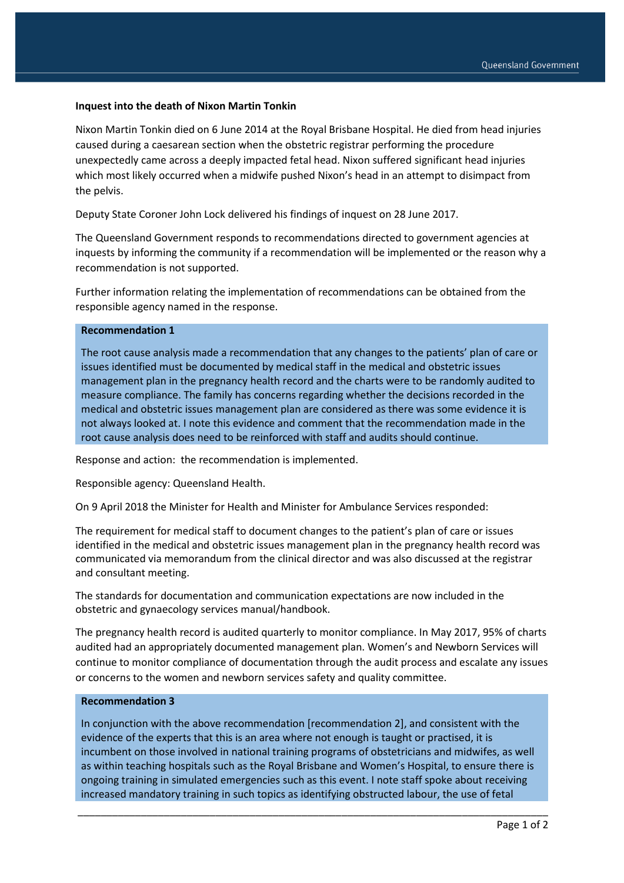## **Inquest into the death of Nixon Martin Tonkin**

Nixon Martin Tonkin died on 6 June 2014 at the Royal Brisbane Hospital. He died from head injuries caused during a caesarean section when the obstetric registrar performing the procedure unexpectedly came across a deeply impacted fetal head. Nixon suffered significant head injuries which most likely occurred when a midwife pushed Nixon's head in an attempt to disimpact from the pelvis.

Deputy State Coroner John Lock delivered his findings of inquest on 28 June 2017.

The Queensland Government responds to recommendations directed to government agencies at inquests by informing the community if a recommendation will be implemented or the reason why a recommendation is not supported.

Further information relating the implementation of recommendations can be obtained from the responsible agency named in the response.

## **Recommendation 1**

The root cause analysis made a recommendation that any changes to the patients' plan of care or issues identified must be documented by medical staff in the medical and obstetric issues management plan in the pregnancy health record and the charts were to be randomly audited to measure compliance. The family has concerns regarding whether the decisions recorded in the medical and obstetric issues management plan are considered as there was some evidence it is not always looked at. I note this evidence and comment that the recommendation made in the root cause analysis does need to be reinforced with staff and audits should continue.

Response and action: the recommendation is implemented.

Responsible agency: Queensland Health.

On 9 April 2018 the Minister for Health and Minister for Ambulance Services responded:

The requirement for medical staff to document changes to the patient's plan of care or issues identified in the medical and obstetric issues management plan in the pregnancy health record was communicated via memorandum from the clinical director and was also discussed at the registrar and consultant meeting.

The standards for documentation and communication expectations are now included in the obstetric and gynaecology services manual/handbook.

The pregnancy health record is audited quarterly to monitor compliance. In May 2017, 95% of charts audited had an appropriately documented management plan. Women's and Newborn Services will continue to monitor compliance of documentation through the audit process and escalate any issues or concerns to the women and newborn services safety and quality committee.

## **Recommendation 3**

In conjunction with the above recommendation [recommendation 2], and consistent with the evidence of the experts that this is an area where not enough is taught or practised, it is incumbent on those involved in national training programs of obstetricians and midwifes, as well as within teaching hospitals such as the Royal Brisbane and Women's Hospital, to ensure there is ongoing training in simulated emergencies such as this event. I note staff spoke about receiving increased mandatory training in such topics as identifying obstructed labour, the use of fetal

\_\_\_\_\_\_\_\_\_\_\_\_\_\_\_\_\_\_\_\_\_\_\_\_\_\_\_\_\_\_\_\_\_\_\_\_\_\_\_\_\_\_\_\_\_\_\_\_\_\_\_\_\_\_\_\_\_\_\_\_\_\_\_\_\_\_\_\_\_\_\_\_\_\_\_\_\_\_\_\_\_\_